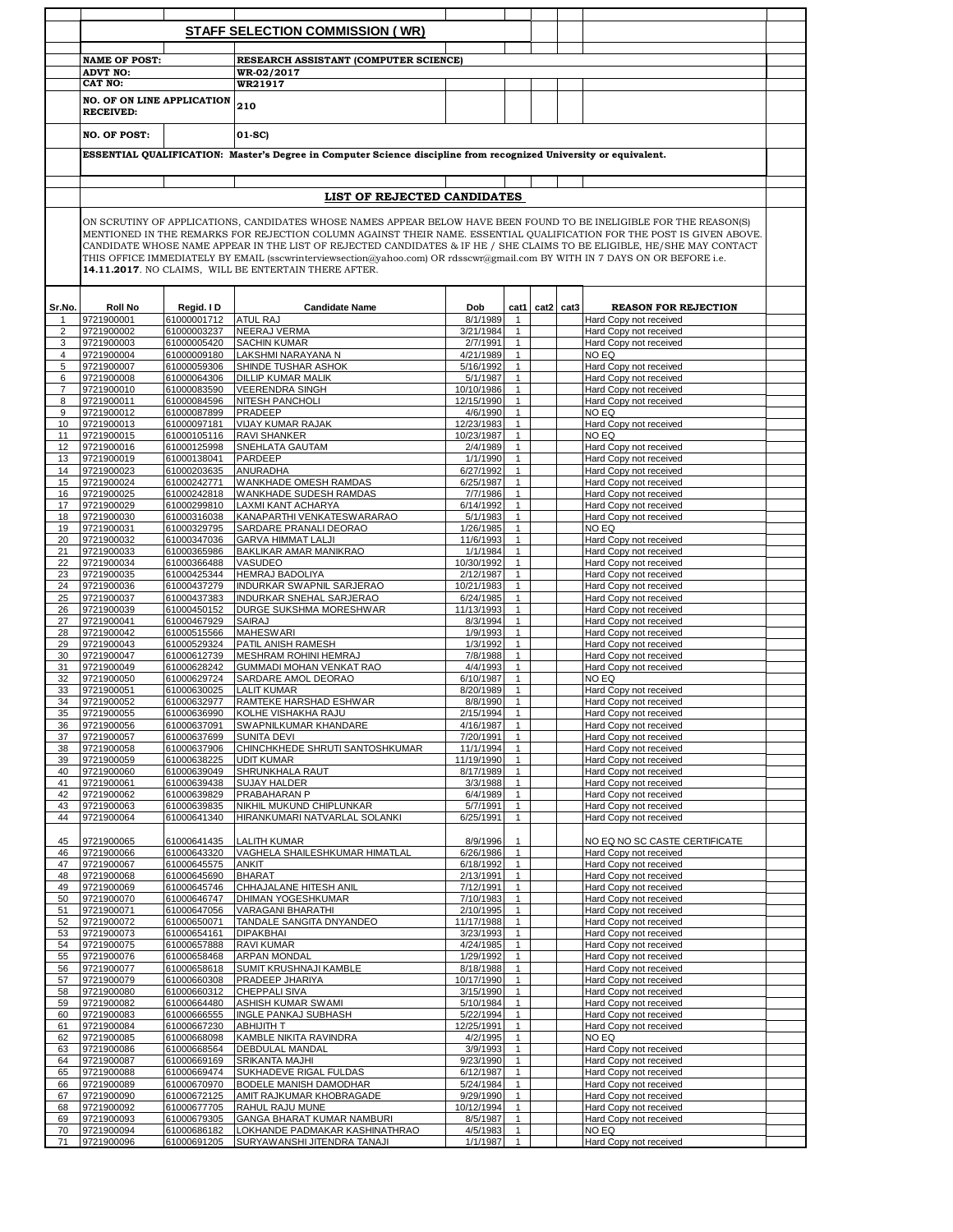|                     |                                                                                                                                                                                                                                                                                                                                                                                                                                                                                                                                                                 |                            | <b>STAFF SELECTION COMMISSION (WR)</b>                       |                          |                              |                |  |                                                         |  |  |  |  |  |
|---------------------|-----------------------------------------------------------------------------------------------------------------------------------------------------------------------------------------------------------------------------------------------------------------------------------------------------------------------------------------------------------------------------------------------------------------------------------------------------------------------------------------------------------------------------------------------------------------|----------------------------|--------------------------------------------------------------|--------------------------|------------------------------|----------------|--|---------------------------------------------------------|--|--|--|--|--|
|                     | <b>NAME OF POST:</b>                                                                                                                                                                                                                                                                                                                                                                                                                                                                                                                                            |                            | RESEARCH ASSISTANT (COMPUTER SCIENCE)                        |                          |                              |                |  |                                                         |  |  |  |  |  |
|                     | <b>ADVT NO:</b>                                                                                                                                                                                                                                                                                                                                                                                                                                                                                                                                                 |                            | WR-02/2017                                                   |                          |                              |                |  |                                                         |  |  |  |  |  |
|                     | <b>CAT NO:</b>                                                                                                                                                                                                                                                                                                                                                                                                                                                                                                                                                  |                            | <b>WR21917</b>                                               |                          |                              |                |  |                                                         |  |  |  |  |  |
|                     | <b>NO. OF ON LINE APPLICATION</b><br><b>RECEIVED:</b>                                                                                                                                                                                                                                                                                                                                                                                                                                                                                                           |                            | 210                                                          |                          |                              |                |  |                                                         |  |  |  |  |  |
|                     | <b>NO. OF POST:</b>                                                                                                                                                                                                                                                                                                                                                                                                                                                                                                                                             |                            | 01-SC)                                                       |                          |                              |                |  |                                                         |  |  |  |  |  |
|                     | ESSENTIAL QUALIFICATION: Master's Degree in Computer Science discipline from recognized University or equivalent.<br>LIST OF REJECTED CANDIDATES                                                                                                                                                                                                                                                                                                                                                                                                                |                            |                                                              |                          |                              |                |  |                                                         |  |  |  |  |  |
|                     |                                                                                                                                                                                                                                                                                                                                                                                                                                                                                                                                                                 |                            |                                                              |                          |                              |                |  |                                                         |  |  |  |  |  |
|                     |                                                                                                                                                                                                                                                                                                                                                                                                                                                                                                                                                                 |                            |                                                              |                          |                              |                |  |                                                         |  |  |  |  |  |
|                     | ON SCRUTINY OF APPLICATIONS, CANDIDATES WHOSE NAMES APPEAR BELOW HAVE BEEN FOUND TO BE INELIGIBLE FOR THE REASON(S)<br>MENTIONED IN THE REMARKS FOR REJECTION COLUMN AGAINST THEIR NAME. ESSENTIAL QUALIFICATION FOR THE POST IS GIVEN ABOVE.<br>CANDIDATE WHOSE NAME APPEAR IN THE LIST OF REJECTED CANDIDATES & IF HE / SHE CLAIMS TO BE ELIGIBLE, HE/SHE MAY CONTACT<br>THIS OFFICE IMMEDIATELY BY EMAIL (sscwrinterviewsection@yahoo.com) OR rdsscwr@gmail.com BY WITH IN 7 DAYS ON OR BEFORE i.e.<br>14.11.2017. NO CLAIMS, WILL BE ENTERTAIN THERE AFTER. |                            |                                                              |                          |                              |                |  |                                                         |  |  |  |  |  |
| Sr.No.              | <b>Roll No</b>                                                                                                                                                                                                                                                                                                                                                                                                                                                                                                                                                  | Regid. I D                 | <b>Candidate Name</b>                                        | Dob                      |                              | cat1 cat2 cat3 |  | <b>REASON FOR REJECTION</b>                             |  |  |  |  |  |
|                     | 9721900001                                                                                                                                                                                                                                                                                                                                                                                                                                                                                                                                                      | 61000001712<br>61000003237 | <b>ATUL RAJ</b><br><b>NEERAJ VERMA</b>                       | 8/1/1989<br>3/21/1984    |                              |                |  | Hard Copy not received                                  |  |  |  |  |  |
| 2<br>3              | 9721900002<br>9721900003                                                                                                                                                                                                                                                                                                                                                                                                                                                                                                                                        | 61000005420                | <b>SACHIN KUMAR</b>                                          | 2/7/1991                 | 1<br>$\mathbf{1}$            |                |  | Hard Copy not received<br>Hard Copy not received        |  |  |  |  |  |
| 4                   | 9721900004                                                                                                                                                                                                                                                                                                                                                                                                                                                                                                                                                      | 61000009180                | LAKSHMI NARAYANA N                                           | 4/21/1989                | 1                            |                |  | NO EQ                                                   |  |  |  |  |  |
| 5                   | 9721900007                                                                                                                                                                                                                                                                                                                                                                                                                                                                                                                                                      | 61000059306                | SHINDE TUSHAR ASHOK                                          | 5/16/1992                | $\mathbf{1}$                 |                |  | Hard Copy not received                                  |  |  |  |  |  |
| 6<br>$\overline{7}$ | 9721900008                                                                                                                                                                                                                                                                                                                                                                                                                                                                                                                                                      | 61000064306                | <b>DILLIP KUMAR MALIK</b><br><b>VEERENDRA SINGH</b>          | 5/1/1987                 | 1                            |                |  | Hard Copy not received                                  |  |  |  |  |  |
| 8                   | 9721900010<br>9721900011                                                                                                                                                                                                                                                                                                                                                                                                                                                                                                                                        | 61000083590<br>61000084596 | <b>NITESH PANCHOLI</b>                                       | 10/10/1986<br>12/15/1990 | 1                            |                |  | Hard Copy not received<br>Hard Copy not received        |  |  |  |  |  |
| 9                   | 9721900012                                                                                                                                                                                                                                                                                                                                                                                                                                                                                                                                                      | 61000087899                | <b>PRADEEP</b>                                               | 4/6/1990                 | $\mathbf{1}$                 |                |  | NO EQ                                                   |  |  |  |  |  |
| 10                  | 9721900013                                                                                                                                                                                                                                                                                                                                                                                                                                                                                                                                                      | 61000097181                | <b>VIJAY KUMAR RAJAK</b>                                     | 12/23/1983               | $\mathbf{1}$                 |                |  | Hard Copy not received                                  |  |  |  |  |  |
| 11                  | 9721900015<br>9721900016                                                                                                                                                                                                                                                                                                                                                                                                                                                                                                                                        | 61000105116                | <b>RAVI SHANKER</b><br>SNEHLATA GAUTAM                       | 10/23/1987               | $\mathbf{1}$                 |                |  | NO EQ                                                   |  |  |  |  |  |
| 12<br>13            | 9721900019                                                                                                                                                                                                                                                                                                                                                                                                                                                                                                                                                      | 61000125998<br>61000138041 | PARDEEP                                                      | 2/4/1989<br>1/1/1990     | $\mathbf{1}$<br>$\mathbf{1}$ |                |  | Hard Copy not received<br>Hard Copy not received        |  |  |  |  |  |
| 14                  | 9721900023                                                                                                                                                                                                                                                                                                                                                                                                                                                                                                                                                      | 61000203635                | <b>ANURADHA</b>                                              | 6/27/1992                | $\mathbf{1}$                 |                |  | Hard Copy not received                                  |  |  |  |  |  |
| 15                  | 9721900024                                                                                                                                                                                                                                                                                                                                                                                                                                                                                                                                                      | 61000242771                | WANKHADE OMESH RAMDAS                                        | 6/25/1987                | $\mathbf{1}$                 |                |  | Hard Copy not received                                  |  |  |  |  |  |
| 16                  | 9721900025                                                                                                                                                                                                                                                                                                                                                                                                                                                                                                                                                      | 61000299810                | 61000242818 WANKHADE SUDESH RAMDAS                           | 7/7/1986                 | $\mathbf{1}$<br>$\mathbf{1}$ |                |  | Hard Copy not received                                  |  |  |  |  |  |
| 17<br>18            | 9721900029<br>9721900030                                                                                                                                                                                                                                                                                                                                                                                                                                                                                                                                        | 61000316038                | LAXMI KANT ACHARYA<br>KANAPARTHI VENKATESWARARAO             | 6/14/1992<br>5/1/1983    | $\mathbf{1}$                 |                |  | Hard Copy not received<br>Hard Copy not received        |  |  |  |  |  |
| 19                  | 9721900031                                                                                                                                                                                                                                                                                                                                                                                                                                                                                                                                                      | 61000329795                | SARDARE PRANALI DEORAO                                       | 1/26/1985                | $\mathbf{1}$                 |                |  | NO EQ                                                   |  |  |  |  |  |
| 20                  | 9721900032                                                                                                                                                                                                                                                                                                                                                                                                                                                                                                                                                      | 61000347036                | <b>GARVA HIMMAT LALJI</b>                                    | 11/6/1993                | 1                            |                |  | Hard Copy not received                                  |  |  |  |  |  |
| 21                  | 9721900033                                                                                                                                                                                                                                                                                                                                                                                                                                                                                                                                                      | 61000365986                | BAKLIKAR AMAR MANIKRAO                                       | 1/1/1984                 | 1                            |                |  | Hard Copy not received                                  |  |  |  |  |  |
| 22                  | 9721900034                                                                                                                                                                                                                                                                                                                                                                                                                                                                                                                                                      | 61000366488                | VASUDEO                                                      | 10/30/1992               | $\mathbf{1}$                 |                |  | Hard Copy not received                                  |  |  |  |  |  |
| 23                  | 9721900035<br>9721900036                                                                                                                                                                                                                                                                                                                                                                                                                                                                                                                                        | 61000425344                | <b>HEMRAJ BADOLIYA</b>                                       | 2/12/1987<br>10/21/1983  | $\mathbf{1}$<br>$\mathbf{1}$ |                |  | Hard Copy not received                                  |  |  |  |  |  |
| 24<br>25            | 9721900037                                                                                                                                                                                                                                                                                                                                                                                                                                                                                                                                                      | 61000437279<br>61000437383 | INDURKAR SWAPNIL SARJERAO<br><b>INDURKAR SNEHAL SARJERAO</b> | 6/24/1985                | $\mathbf{1}$                 |                |  | Hard Copy not received<br>Hard Copy not received        |  |  |  |  |  |
| 26                  | 9721900039                                                                                                                                                                                                                                                                                                                                                                                                                                                                                                                                                      | 61000450152                | DURGE SUKSHMA MORESHWAR                                      | 11/13/1993               | $\mathbf{1}$                 |                |  | Hard Copy not received                                  |  |  |  |  |  |
| 27                  | 9721900041                                                                                                                                                                                                                                                                                                                                                                                                                                                                                                                                                      | 61000467929                | <b>SAIRAJ</b>                                                | 8/3/1994                 | 1                            |                |  | Hard Copy not received                                  |  |  |  |  |  |
| 28                  | 9721900042                                                                                                                                                                                                                                                                                                                                                                                                                                                                                                                                                      | 61000515566                | <b>MAHESWARI</b>                                             | 1/9/1993                 | 1                            |                |  | Hard Copy not received                                  |  |  |  |  |  |
| 29<br>30            | 9721900043<br>9721900047                                                                                                                                                                                                                                                                                                                                                                                                                                                                                                                                        | 61000529324<br>61000612739 | PATIL ANISH RAMESH<br><b>MESHRAM ROHINI HEMRAJ</b>           | 1/3/1992<br>7/8/1988     | 1<br>$\mathbf{1}$            |                |  | Hard Copy not received<br>Hard Copy not received        |  |  |  |  |  |
| 31                  | 9721900049                                                                                                                                                                                                                                                                                                                                                                                                                                                                                                                                                      | 61000628242                | GUMMADI MOHAN VENKAT RAO                                     | 4/4/1993                 | 1                            |                |  | Hard Copy not received                                  |  |  |  |  |  |
| 32                  | 9721900050                                                                                                                                                                                                                                                                                                                                                                                                                                                                                                                                                      | 61000629724                | SARDARE AMOL DEORAO                                          | 6/10/1987                | 1                            |                |  | NO EQ                                                   |  |  |  |  |  |
| 33                  | 9721900051                                                                                                                                                                                                                                                                                                                                                                                                                                                                                                                                                      | 61000630025                | <b>LALIT KUMAR</b>                                           | 8/20/1989                | 1                            |                |  | Hard Copy not received                                  |  |  |  |  |  |
| 34                  | 9721900052                                                                                                                                                                                                                                                                                                                                                                                                                                                                                                                                                      | 61000632977                | RAMTEKE HARSHAD ESHWAR                                       | 8/8/1990                 | $\mathbf{1}$                 |                |  | Hard Copy not received                                  |  |  |  |  |  |
| 35<br>36            | 9721900055<br>9721900056                                                                                                                                                                                                                                                                                                                                                                                                                                                                                                                                        | 61000636990<br>61000637091 | KOLHE VISHAKHA RAJU<br>SWAPNILKUMAR KHANDARE                 | 2/15/1994<br>4/16/1987   | $\mathbf{1}$<br>$\mathbf{1}$ |                |  | Hard Copy not received<br>Hard Copy not received        |  |  |  |  |  |
| 37                  | 9721900057                                                                                                                                                                                                                                                                                                                                                                                                                                                                                                                                                      | 61000637699                | <b>SUNITA DEVI</b>                                           | 7/20/1991                | $\mathbf{1}$                 |                |  | Hard Copy not received                                  |  |  |  |  |  |
| 38                  | 9721900058                                                                                                                                                                                                                                                                                                                                                                                                                                                                                                                                                      | 61000637906                | CHINCHKHEDE SHRUTI SANTOSHKUMAR                              | 11/1/1994                | $\mathbf{1}$                 |                |  | Hard Copy not received                                  |  |  |  |  |  |
| 39                  | 9721900059                                                                                                                                                                                                                                                                                                                                                                                                                                                                                                                                                      | 61000638225                | <b>UDIT KUMAR</b>                                            | 11/19/1990               | $\mathbf{1}$                 |                |  | Hard Copy not received                                  |  |  |  |  |  |
| 40<br>41            | 9721900060<br>9721900061                                                                                                                                                                                                                                                                                                                                                                                                                                                                                                                                        | 61000639049<br>61000639438 | SHRUNKHALA RAUT<br><b>SUJAY HALDER</b>                       | 8/17/1989<br>3/3/1988    | $\mathbf{1}$<br>$\mathbf{1}$ |                |  | Hard Copy not received<br>Hard Copy not received        |  |  |  |  |  |
| 42                  | 9721900062                                                                                                                                                                                                                                                                                                                                                                                                                                                                                                                                                      | 61000639829                | PRABAHARAN P                                                 | 6/4/1989                 | $\mathbf{1}$                 |                |  | Hard Copy not received                                  |  |  |  |  |  |
| 43                  | 9721900063                                                                                                                                                                                                                                                                                                                                                                                                                                                                                                                                                      | 61000639835                | NIKHIL MUKUND CHIPLUNKAR                                     | 5/7/1991                 | $\mathbf{1}$                 |                |  | Hard Copy not received                                  |  |  |  |  |  |
| 44                  | 9721900064                                                                                                                                                                                                                                                                                                                                                                                                                                                                                                                                                      | 61000641340                | HIRANKUMARI NATVARLAL SOLANKI                                | 6/25/1991                | $\mathbf{1}$                 |                |  | Hard Copy not received                                  |  |  |  |  |  |
|                     |                                                                                                                                                                                                                                                                                                                                                                                                                                                                                                                                                                 |                            |                                                              |                          |                              |                |  |                                                         |  |  |  |  |  |
| 45<br>46            | 9721900065<br>9721900066                                                                                                                                                                                                                                                                                                                                                                                                                                                                                                                                        | 61000641435<br>61000643320 | <b>LALITH KUMAR</b><br>VAGHELA SHAILESHKUMAR HIMATLAL        | 8/9/1996<br>6/26/1986    | $\mathbf{1}$<br>$\mathbf{1}$ |                |  | NO EQ NO SC CASTE CERTIFICATE<br>Hard Copy not received |  |  |  |  |  |
| 47                  | 9721900067                                                                                                                                                                                                                                                                                                                                                                                                                                                                                                                                                      | 61000645575                | <b>ANKIT</b>                                                 | 6/18/1992                | $\mathbf{1}$                 |                |  | Hard Copy not received                                  |  |  |  |  |  |
| 48                  | 9721900068                                                                                                                                                                                                                                                                                                                                                                                                                                                                                                                                                      | 61000645690                | <b>BHARAT</b>                                                | 2/13/1991                | $\mathbf{1}$                 |                |  | Hard Copy not received                                  |  |  |  |  |  |
| 49                  | 9721900069                                                                                                                                                                                                                                                                                                                                                                                                                                                                                                                                                      | 61000645746                | CHHAJALANE HITESH ANIL                                       | 7/12/1991                | $\mathbf{1}$                 |                |  | Hard Copy not received                                  |  |  |  |  |  |
| 50                  | 9721900070                                                                                                                                                                                                                                                                                                                                                                                                                                                                                                                                                      | 61000646747                | <b>DHIMAN YOGESHKUMAR</b>                                    | 7/10/1983                | $\mathbf{1}$                 |                |  | Hard Copy not received                                  |  |  |  |  |  |
| 51<br>52            | 9721900071<br>9721900072                                                                                                                                                                                                                                                                                                                                                                                                                                                                                                                                        | 61000647056<br>61000650071 | VARAGANI BHARATHI<br>TANDALE SANGITA DNYANDEO                | 2/10/1995<br>11/17/1988  | $\mathbf{1}$<br>1            |                |  | Hard Copy not received<br>Hard Copy not received        |  |  |  |  |  |
| 53                  | 9721900073                                                                                                                                                                                                                                                                                                                                                                                                                                                                                                                                                      | 61000654161                | <b>DIPAKBHAI</b>                                             | 3/23/1993                | 1                            |                |  | Hard Copy not received                                  |  |  |  |  |  |
| 54                  | 9721900075                                                                                                                                                                                                                                                                                                                                                                                                                                                                                                                                                      | 61000657888                | <b>RAVI KUMAR</b>                                            | 4/24/1985                | $\mathbf{1}$                 |                |  | Hard Copy not received                                  |  |  |  |  |  |
| 55                  | 9721900076                                                                                                                                                                                                                                                                                                                                                                                                                                                                                                                                                      | 61000658468                | <b>ARPAN MONDAL</b>                                          | 1/29/1992                | 1                            |                |  | Hard Copy not received                                  |  |  |  |  |  |
| 56<br>57            | 9721900077<br>9721900079                                                                                                                                                                                                                                                                                                                                                                                                                                                                                                                                        | 61000658618<br>61000660308 | SUMIT KRUSHNAJI KAMBLE<br>PRADEEP JHARIYA                    | 8/18/1988<br>10/17/1990  | $\mathbf{1}$<br>1            |                |  | Hard Copy not received<br>Hard Copy not received        |  |  |  |  |  |
| 58                  | 9721900080                                                                                                                                                                                                                                                                                                                                                                                                                                                                                                                                                      | 61000660312                | <b>CHEPPALI SIVA</b>                                         | 3/15/1990                |                              |                |  | Hard Copy not received                                  |  |  |  |  |  |
| 59                  | 9721900082                                                                                                                                                                                                                                                                                                                                                                                                                                                                                                                                                      | 61000664480                | ASHISH KUMAR SWAMI                                           | 5/10/1984                | 1                            |                |  | Hard Copy not received                                  |  |  |  |  |  |
| 60                  | 9721900083                                                                                                                                                                                                                                                                                                                                                                                                                                                                                                                                                      | 61000666555                | INGLE PANKAJ SUBHASH                                         | 5/22/1994                | $\mathbf{1}$                 |                |  | Hard Copy not received                                  |  |  |  |  |  |
| 61                  | 9721900084                                                                                                                                                                                                                                                                                                                                                                                                                                                                                                                                                      | 61000667230                | ABHIJITH T                                                   | 12/25/1991               | $\mathbf{1}$<br>$\mathbf{1}$ |                |  | Hard Copy not received                                  |  |  |  |  |  |
| 62<br>63            | 9721900085<br>9721900086                                                                                                                                                                                                                                                                                                                                                                                                                                                                                                                                        | 61000668098<br>61000668564 | KAMBLE NIKITA RAVINDRA<br>DEBDULAL MANDAL                    | 4/2/1995<br>3/9/1993     | $\mathbf{1}$                 |                |  | NO EQ<br>Hard Copy not received                         |  |  |  |  |  |
| 64                  | 9721900087                                                                                                                                                                                                                                                                                                                                                                                                                                                                                                                                                      | 61000669169                | <b>SRIKANTA MAJHI</b>                                        | 9/23/1990                | $\mathbf{1}$                 |                |  | Hard Copy not received                                  |  |  |  |  |  |
| 65                  | 9721900088                                                                                                                                                                                                                                                                                                                                                                                                                                                                                                                                                      | 61000669474                | SUKHADEVE RIGAL FULDAS                                       | 6/12/1987                | $\mathbf{1}$                 |                |  | Hard Copy not received                                  |  |  |  |  |  |
| 66                  | 9721900089                                                                                                                                                                                                                                                                                                                                                                                                                                                                                                                                                      | 61000670970                | BODELE MANISH DAMODHAR                                       | 5/24/1984                | $\mathbf{1}$                 |                |  | Hard Copy not received                                  |  |  |  |  |  |
| 67                  | 9721900090                                                                                                                                                                                                                                                                                                                                                                                                                                                                                                                                                      | 61000672125                | AMIT RAJKUMAR KHOBRAGADE                                     | 9/29/1990                | $\mathbf{1}$                 |                |  | Hard Copy not received                                  |  |  |  |  |  |
|                     | 9721900092                                                                                                                                                                                                                                                                                                                                                                                                                                                                                                                                                      | 61000677705                | RAHUL RAJU MUNE                                              | 10/12/1994               | $\mathbf{1}$                 |                |  | Hard Copy not received                                  |  |  |  |  |  |
| 68                  |                                                                                                                                                                                                                                                                                                                                                                                                                                                                                                                                                                 |                            |                                                              |                          |                              |                |  |                                                         |  |  |  |  |  |
| 69<br>70            | 9721900093<br>9721900094                                                                                                                                                                                                                                                                                                                                                                                                                                                                                                                                        | 61000679305<br>61000686182 | GANGA BHARAT KUMAR NAMBURI<br>LOKHANDE PADMAKAR KASHINATHRAO | 8/5/1987<br>4/5/1983     | $\mathbf{1}$<br>$\mathbf{1}$ |                |  | Hard Copy not received<br>NO EQ                         |  |  |  |  |  |